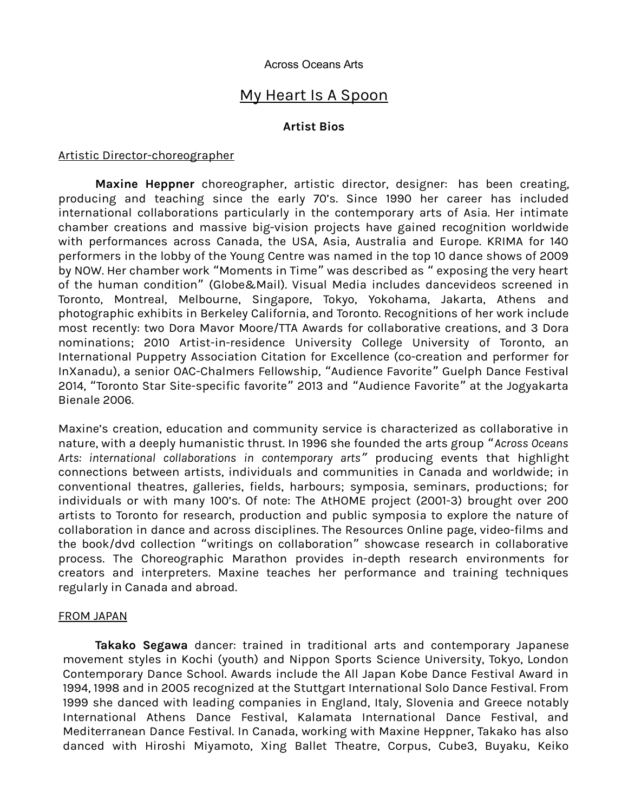#### Across Oceans Arts

# My Heart Is A Spoon

## **Artist Bios**

#### Artistic Director-choreographer

**Maxine Heppner** choreographer, artistic director, designer: has been creating, producing and teaching since the early 70's. Since 1990 her career has included international collaborations particularly in the contemporary arts of Asia. Her intimate chamber creations and massive big-vision projects have gained recognition worldwide with performances across Canada, the USA, Asia, Australia and Europe. KRIMA for 140 performers in the lobby of the Young Centre was named in the top 10 dance shows of 2009 by NOW. Her chamber work "Moments in Time" was described as " exposing the very heart of the human condition" (Globe&Mail). Visual Media includes dancevideos screened in Toronto, Montreal, Melbourne, Singapore, Tokyo, Yokohama, Jakarta, Athens and photographic exhibits in Berkeley California, and Toronto. Recognitions of her work include most recently: two Dora Mavor Moore/TTA Awards for collaborative creations, and 3 Dora nominations; 2010 Artist-in-residence University College University of Toronto, an International Puppetry Association Citation for Excellence (co-creation and performer for InXanadu), a senior OAC-Chalmers Fellowship, "Audience Favorite" Guelph Dance Festival 2014, "Toronto Star Site-specific favorite" 2013 and "Audience Favorite" at the Jogyakarta Bienale 2006.

Maxine's creation, education and community service is characterized as collaborative in nature, with a deeply humanistic thrust. In 1996 she founded the arts group "*Across Oceans Arts: international collaborations in contemporary arts* " producing events that highlight connections between artists, individuals and communities in Canada and worldwide; in conventional theatres, galleries, fields, harbours; symposia, seminars, productions; for individuals or with many 100's. Of note: The AtHOME project (2001-3) brought over 200 artists to Toronto for research, production and public symposia to explore the nature of collaboration in dance and across disciplines. The Resources Online page, video-films and the book/dvd collection "writings on collaboration" showcase research in collaborative process. The Choreographic Marathon provides in-depth research environments for creators and interpreters. Maxine teaches her performance and training techniques regularly in Canada and abroad.

## FROM JAPAN

**Takako Segawa** dancer: trained in traditional arts and contemporary Japanese movement styles in Kochi (youth) and Nippon Sports Science University, Tokyo, London Contemporary Dance School. Awards include the All Japan Kobe Dance Festival Award in 1994, 1998 and in 2005 recognized at the Stuttgart International Solo Dance Festival. From 1999 she danced with leading companies in England, Italy, Slovenia and Greece notably International Athens Dance Festival, Kalamata International Dance Festival, and Mediterranean Dance Festival. In Canada, working with Maxine Heppner, Takako has also danced with Hiroshi Miyamoto, Xing Ballet Theatre, Corpus, Cube3, Buyaku, Keiko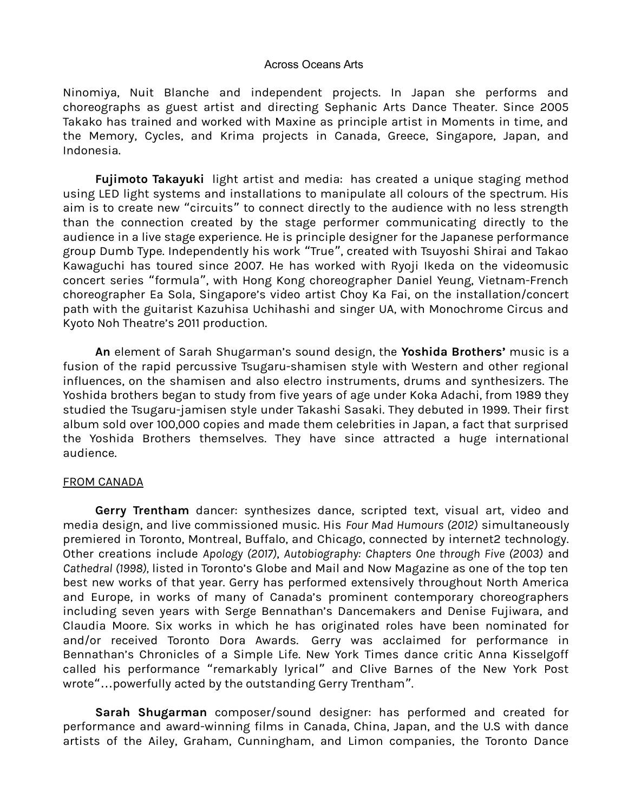#### Across Oceans Arts

Ninomiya, Nuit Blanche and independent projects. In Japan she performs and choreographs as guest artist and directing Sephanic Arts Dance Theater. Since 2005 Takako has trained and worked with Maxine as principle artist in Moments in time, and the Memory, Cycles, and Krima projects in Canada, Greece, Singapore, Japan, and Indonesia.

**Fujimoto Takayuki** light artist and media: has created a unique staging method using LED light systems and installations to manipulate all colours of the spectrum. His aim is to create new "circuits" to connect directly to the audience with no less strength than the connection created by the stage performer communicating directly to the audience in a live stage experience. He is principle designer for the Japanese performance group Dumb Type. Independently his work "True", created with Tsuyoshi Shirai and Takao Kawaguchi has toured since 2007. He has worked with Ryoji Ikeda on the videomusic concert series "formula", with Hong Kong choreographer Daniel Yeung, Vietnam-French choreographer Ea Sola, Singapore's video artist Choy Ka Fai, on the installation/concert path with the guitarist Kazuhisa Uchihashi and singer UA, with Monochrome Circus and Kyoto Noh Theatre's 2011 production.

**An** element of Sarah Shugarman's sound design, the **Yoshida Brothers'** music is a fusion of the rapid percussive Tsugaru-shamisen style with Western and other regional influences, on the shamisen and also electro instruments, drums and synthesizers. The Yoshida brothers began to study from five years of age under Koka Adachi, from 1989 they studied the Tsugaru-jamisen style under Takashi Sasaki. They debuted in 1999. Their first album sold over 100,000 copies and made them celebrities in Japan, a fact that surprised the Yoshida Brothers themselves. They have since attracted a huge international audience.

## FROM CANADA

**Gerry Trentham** dancer: synthesizes dance, scripted text, visual art, video and media design, and live commissioned music. His *Four Mad Humours (2012)* simultaneously premiered in Toronto, Montreal, Buffalo, and Chicago, connected by internet2 technology. Other creations include *Apology (2017)*, *Autobiography: Chapters One through Five (2003)* and *Cathedral (1998),* listed in Toronto's Globe and Mail and Now Magazine as one of the top ten best new works of that year. Gerry has performed extensively throughout North America and Europe, in works of many of Canada's prominent contemporary choreographers including seven years with Serge Bennathan's Dancemakers and Denise Fujiwara, and Claudia Moore. Six works in which he has originated roles have been nominated for and/or received Toronto Dora Awards. Gerry was acclaimed for performance in Bennathan's Chronicles of a Simple Life. New York Times dance critic Anna Kisselgoff called his performance "remarkably lyrical" and Clive Barnes of the New York Post wrote"...powerfully acted by the outstanding Gerry Trentham".

**Sarah Shugarman** composer/sound designer: has performed and created for performance and award-winning films in Canada, China, Japan, and the U.S with dance artists of the Ailey, Graham, Cunningham, and Limon companies, the Toronto Dance